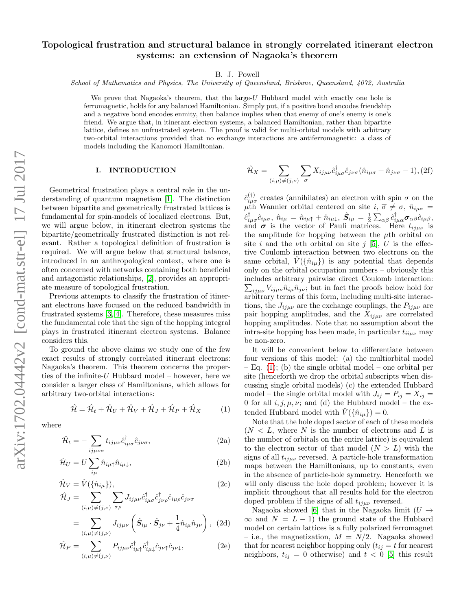# Topological frustration and structural balance in strongly correlated itinerant electron systems: an extension of Nagaoka's theorem

B. J. Powell

School of Mathematics and Physics, The University of Queensland, Brisbane, Queensland, 4072, Australia

We prove that Nagaoka's theorem, that the large-U Hubbard model with exactly one hole is ferromagnetic, holds for any balanced Hamiltonian. Simply put, if a positive bond encodes friendship and a negative bond encodes enmity, then balance implies when that enemy of one's enemy is one's friend. We argue that, in itinerant electron systems, a balanced Hamiltonian, rather than bipartite lattice, defines an unfrustrated system. The proof is valid for multi-orbital models with arbitrary two-orbital interactions provided that no exchange interactions are antiferromagnetic: a class of models including the Kanomori Hamiltonian.

#### I. INTRODUCTION

Geometrical frustration plays a central role in the understanding of quantum magnetism [\[1\]](#page-4-0). The distinction between bipartite and geometrically frustrated lattices is fundamental for spin-models of localized electrons. But, we will argue below, in itinerant electron systems the bipartite/geometrically frustrated distinction is not relevant. Rather a topological definition of frustration is required. We will argue below that structural balance, introduced in an anthropological context, where one is often concerned with networks containing both beneficial and antagonistic relationships, [\[2\]](#page-4-1), provides an appropriate measure of topological frustration.

Previous attempts to classify the frustration of itinerant electrons have focused on the reduced bandwidth in frustrated systems [\[3,](#page-4-2) [4\]](#page-4-3). Therefore, these measures miss the fundamental role that the sign of the hopping integral plays in frustrated itinerant electron systems. Balance considers this.

To ground the above claims we study one of the few exact results of strongly correlated itinerant electrons: Nagaoka's theorem. This theorem concerns the properties of the infinite-U Hubbard model – however, here we consider a larger class of Hamiltonians, which allows for arbitrary two-orbital interactions:

<span id="page-0-0"></span>
$$
\hat{\mathcal{H}} = \hat{\mathcal{H}}_t + \hat{\mathcal{H}}_U + \hat{\mathcal{H}}_V + \hat{\mathcal{H}}_J + \hat{\mathcal{H}}_P + \hat{\mathcal{H}}_X \tag{1}
$$

where

<span id="page-0-1"></span>
$$
\hat{\mathcal{H}}_t = -\sum_{ij\mu\nu\sigma} t_{ij\mu\nu} \hat{c}^{\dagger}_{i\mu\sigma} \hat{c}_{j\nu\sigma},\tag{2a}
$$

$$
\hat{\mathcal{H}}_U = U \sum_{i\mu} \hat{n}_{i\mu\uparrow} \hat{n}_{i\mu\downarrow}, \tag{2b}
$$

$$
\hat{\mathcal{H}}_V = \hat{V}(\{\hat{n}_{i\mu}\}),\tag{2c}
$$

$$
\hat{\mathcal{H}}_{J} = \sum_{(i,\mu)\neq(j,\nu)} \sum_{\sigma\rho} J_{ij\mu\nu} \hat{c}_{i\mu\sigma}^{\dagger} \hat{c}_{j\nu\rho}^{\dagger} \hat{c}_{i\mu\rho} \hat{c}_{j\nu\sigma}
$$
\n
$$
= \sum_{(i,\nu)\neq(i,\nu)} J_{ij\mu\nu} \left( \hat{S}_{i\mu} \cdot \hat{S}_{j\nu} + \frac{1}{4} \hat{n}_{i\mu} \hat{n}_{j\nu} \right), \quad (2d)
$$

$$
\hat{\mathcal{H}}_P = \sum_{(i,\mu)\neq(j,\nu)}^{(i,\mu)\neq(j,\nu)} P_{ij\mu\nu} \hat{c}^{\dagger}_{i\mu\uparrow} \hat{c}^{\dagger}_{i\mu\downarrow} \hat{c}_{j\nu\uparrow} \hat{c}_{j\nu\downarrow}, \tag{2e}
$$

$$
\hat{\mathcal{H}}_X = \sum_{(i,\mu)\neq(j,\nu)} \sum_{\sigma} X_{ij\mu\nu} \hat{c}^{\dagger}_{i\mu\sigma} \hat{c}_{j\nu\sigma} (\hat{n}_{i\mu\overline{\sigma}} + \hat{n}_{j\nu\overline{\sigma}} - 1), (2f)
$$

 $\hat{c}^{(\dagger)}_{i\mu\sigma}$  creates (annihilates) an electron with spin  $\sigma$  on the  $\mu$ th Wannier orbital centered on site  $i, \bar{\sigma} \neq \sigma, \hat{n}_{i\mu\sigma} =$  $\hat{c}^{\dagger}_{i\mu\sigma}\hat{c}_{i\mu\sigma},\ \hat{n}_{i\mu}=\hat{n}_{i\mu\uparrow}+\hat{n}_{i\mu\downarrow},\ \hat{\bm{S}}_{i\mu}=\frac{1}{2}\sum_{\alpha\beta}\hat{c}^{\dagger}_{i\mu\alpha}\bm{\sigma}_{\alpha\beta}\hat{c}_{i\mu\beta},$ and  $\sigma$  is the vector of Pauli matrices. Here  $t_{ij\mu\nu}$  is the amplitude for hopping between the  $\mu$ th orbital on site i and the  $\nu$ th orbital on site j [\[5\]](#page-4-4), U is the effective Coulomb interaction between two electrons on the same orbital,  $V(\{\hat{n}_{i\mu}\})$  is any potential that depends only on the orbital occupation numbers – obviously this includes arbitrary pairwise direct Coulomb interaction:  $\sum_{ij\mu\nu} V_{ij\mu\nu} \hat{n}_{i\mu} \hat{n}_{j\nu}$ ; but in fact the proofs below hold for arbitrary terms of this form, including multi-site interactions, the  $J_{ij\mu\nu}$  are the exchange couplings, the  $P_{ij\mu\nu}$  are pair hopping amplitudes, and the  $X_{ij\mu\nu}$  are correlated hopping amplitudes. Note that no assumption about the intra-site hopping has been made, in particular  $t_{ii\mu\nu}$  may be non-zero.

It will be convenient below to differentiate between four versions of this model: (a) the multiorbital model – Eq.  $(1)$ ; (b) the single orbital model – one orbital per site (henceforth we drop the orbital subscripts when discussing single orbital models) (c) the extended Hubbard model – the single orbital model with  $J_{ij} = P_{ij} = X_{ij} =$ 0 for all  $i, j, \mu, \nu$ ; and (d) the Hubbard model – the extended Hubbard model with  $V(\{\hat{n}_{i\mu}\})=0$ .

Note that the hole doped sector of each of these models  $(N < L$ , where N is the number of electrons and L is the number of orbitals on the entire lattice) is equivalent to the electron sector of that model  $(N > L)$  with the signs of all  $t_{ij\mu\nu}$  reversed. A particle-hole transformation maps between the Hamiltonians, up to constants, even in the absence of particle-hole symmetry. Henceforth we will only discuss the hole doped problem; however it is implicit throughout that all results hold for the electron doped problem if the signs of all  $t_{ij\mu\nu}$  reversed.

Nagaoka showed [\[6\]](#page-4-5) that in the Nagaoka limit ( $U \rightarrow$  $\infty$  and  $N = L - 1$ ) the ground state of the Hubbard model on certain lattices is a fully polarized ferromagnet – i.e., the magnetization,  $M = N/2$ . Nagaoka showed that for nearest neighbor hopping only  $(t_{ij} = t$  for nearest neighbors,  $t_{ij} = 0$  otherwise) and  $t < 0$  [\[5\]](#page-4-4) this result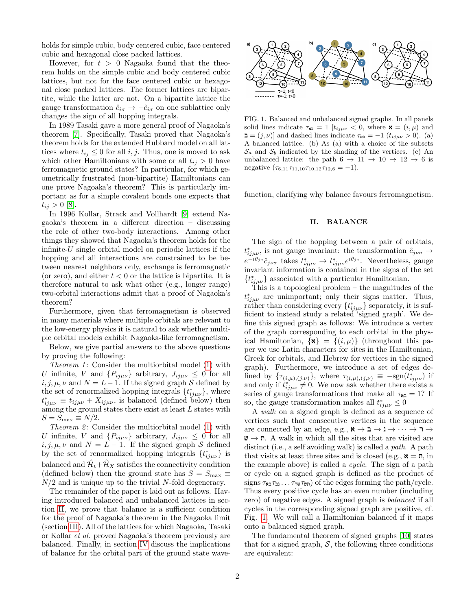holds for simple cubic, body centered cubic, face centered cubic and hexagonal close packed lattices.

However, for  $t > 0$  Nagaoka found that the theorem holds on the simple cubic and body centered cubic lattices, but not for the face centered cubic or hexagonal close packed lattices. The former lattices are bipartite, while the latter are not. On a bipartite lattice the gauge transformation  $\hat{c}_{i\sigma} \rightarrow -\hat{c}_{i\sigma}$  on one sublattice only changes the sign of all hopping integrals.

In 1989 Tasaki gave a more general proof of Nagaoka's theorem [\[7\]](#page-4-6). Specifically, Tasaki proved that Nagaoka's theorem holds for the extended Hubbard model on all lattices where  $t_{ij} \leq 0$  for all i, j. Thus, one is moved to ask which other Hamiltonians with some or all  $t_{ij} > 0$  have ferromagnetic ground states? In particular, for which geometrically frustrated (non-bipartite) Hamiltonians can one prove Nagoaka's theorem? This is particularly important as for a simple covalent bonds one expects that  $t_{ij} > 0$  [\[8\]](#page-4-7).

In 1996 Kollar, Strack and Vollhardt [\[9\]](#page-4-8) extend Nagaoka's theorem in a different direction – discussing the role of other two-body interactions. Among other things they showed that Nagaoka's theorem holds for the infinite- $U$  single orbital model on periodic lattices if the hopping and all interactions are constrained to be between nearest neighbors only, exchange is ferromagnetic (or zero), and either  $t < 0$  or the lattice is bipartite. It is therefore natural to ask what other (e.g., longer range) two-orbital interactions admit that a proof of Nagaoka's theorem?

Furthermore, given that ferromagnetism is observed in many materials where multiple orbitals are relevant to the low-energy physics it is natural to ask whether multiple orbital models exhibit Nagaoka-like ferromagnetism.

Below, we give partial answers to the above questions by proving the following:

Theorem 1: Consider the multiorbital model  $(1)$  with U infinite, V and  $\{P_{ij\mu\nu}\}\$ arbitrary,  $J_{ij\mu\nu}\leq 0$  for all  $i, j, \mu, \nu$  and  $N = L - 1$ . If the signed graph S defined by the set of renormalized hopping integrals  $\{t^*_{ij\mu\nu}\}\,$ , where  $t_{ij\mu\nu}^* \equiv t_{ij\mu\nu} + X_{ij\mu\nu}$ , is balanced (defined below) then among the ground states there exist at least  $L$  states with  $S = S_{\text{max}} \equiv N/2.$ 

Theorem 2: Consider the multiorbital model  $(1)$  with U infinite, V and  $\{P_{ij\mu\nu}\}\$ arbitrary,  $J_{ij\mu\nu}\leq 0$  for all  $i, j, \mu, \nu$  and  $N = L - 1$ . If the signed graph S defined by the set of renormalized hopping integrals  $\{t^*_{ij\mu\nu}\}\$ is balanced and  $\hat{\mathcal{H}}_t+\hat{\mathcal{H}}_X$  satisfies the connectivity condition (defined below) then the ground state has  $S = S_{\text{max}} \equiv$  $N/2$  and is unique up to the trivial N-fold degeneracy.

The remainder of the paper is laid out as follows. Having introduced balanced and unbalanced lattices in section [II,](#page-1-0) we prove that balance is a sufficient condition for the proof of Nagaoka's theorem in the Nagaoka limit (section [III\)](#page-2-0). All of the lattices for which Nagaoka, Tasaki or Kollar et al. proved Nagaoka's theorem previously are balanced. Finally, in section [IV](#page-3-0) discuss the implications of balance for the orbital part of the ground state wave-



<span id="page-1-1"></span>FIG. 1. Balanced and unbalanced signed graphs. In all panels solid lines indicate  $\tau_{\mathbf{x}} = 1$  [ $t_{ij\mu\nu} < 0$ , where  $\mathbf{x} = (i, \mu)$  and  $\textbf{a} = (j, \nu)$ ] and dashed lines indicate  $τ_{\textbf{k} \textbf{a}} = -1$  ( $t_{ij\mu\nu} > 0$ ). (a) A balanced lattice. (b) As (a) with a choice of the subsets  $\mathcal{S}_a$  and  $\mathcal{S}_b$  indicated by the shading of the vertices. (c) An unbalanced lattice: the path  $6 \rightarrow 11 \rightarrow 10 \rightarrow 12 \rightarrow 6$  is negative  $(\tau_{6,11}\tau_{11,10}\tau_{10,12}\tau_{12,6}=-1)$ .

function, clarifying why balance favours ferromagnetism.

#### <span id="page-1-0"></span>II. BALANCE

The sign of the hopping between a pair of orbitals,  $t^*_{ij\mu\nu}$ , is not gauge invariant: the transformation  $\hat{c}_{j\nu\sigma} \rightarrow$  $e^{-i\theta_{j\nu}}\hat{c}_{j\nu\sigma}$  takes  $t^*_{ij\mu\nu} \to t^*_{ij\mu\nu}e^{i\theta_{j\nu}}$ . Nevertheless, gauge invariant information is contained in the signs of the set  $\{t^*_{ij\mu\nu}\}$  associated with a particular Hamiltonian.

This is a topological problem – the magnitudes of the  $t_{ij\mu\nu}^*$  are unimportant; only their signs matter. Thus, rather than considering every  $\{t^*_{ij\mu\nu}\}$  separately, it is sufficient to instead study a related 'signed graph'. We define this signed graph as follows: We introduce a vertex of the graph corresponding to each orbital in the physical Hamiltonian,  $\{\mathbf{x}\} = \{(i, \mu)\}\$  (throughout this paper we use Latin characters for sites in the Hamiltonian, Greek for orbitals, and Hebrew for vertices in the signed graph). Furthermore, we introduce a set of edges defined by  $\{\tau_{(i,\mu),(j,\nu)}\}\$ , where  $\tau_{(i,\mu),(j,\nu)} \equiv -\text{sgn}(t_{ij\mu\nu}^*)$  if and only if  $t_{ij\mu\nu}^* \neq 0$ . We now ask whether there exists a series of gauge transformations that make all  $\tau_{\text{R2}} = 1$ ? If so, the gauge transformation makes all  $t^*_{ij\mu\nu} \leq 0$ 

A walk on a signed graph is defined as a sequence of vertices such that consecutive vertices in the sequence are connected by an edge, e.g.,  $\mathbf{x} \to \mathbf{1} \to \cdots \to \mathbf{1} \to$  $\mathbf{w} \to \mathbf{n}$ . A walk in which all the sites that are visited are distinct (i.e., a self avoiding walk) is called a *path*. A path that visits at least three sites and is closed (e.g.,  $\mathbf{x} = \mathbf{n}$ , in the example above) is called a cycle. The sign of a path or cycle on a signed graph is defined as the product of signs  $\tau_{\mathbf{x} \mathbf{I} \mathcal{T}_{\mathbf{w}} \cdots \mathcal{T}_{\mathbf{w} \mathcal{T}_{\mathbf{w}}}$  of the edges forming the path/cycle. Thus every positive cycle has an even number (including zero) of negative edges. A signed graph is balanced if all cycles in the corresponding signed graph are positive, cf. Fig. [1.](#page-1-1) We will call a Hamiltonian balanced if it maps onto a balanced signed graph.

The fundamental theorem of signed graphs [\[10\]](#page-4-9) states that for a signed graph,  $S$ , the following three conditions are equivalent: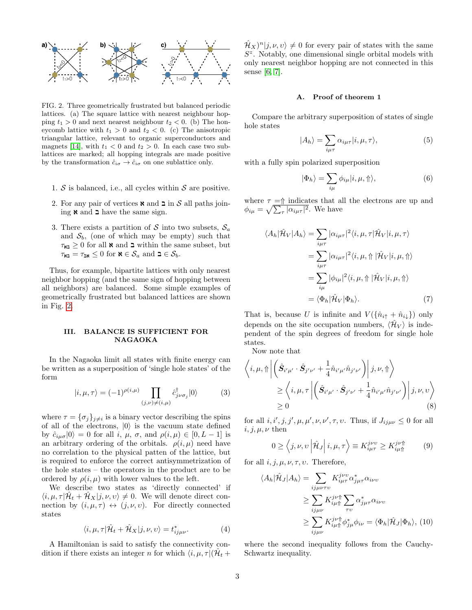

<span id="page-2-1"></span>FIG. 2. Three geometrically frustrated but balanced periodic lattices. (a) The square lattice with nearest neighbour hopping  $t_1 > 0$  and next nearest neighbour  $t_2 < 0$ . (b) The honeycomb lattice with  $t_1 > 0$  and  $t_2 < 0$ . (c) The anisotropic triangular lattice, relevant to organic superconductors and magnets [\[14\]](#page-4-10), with  $t_1 < 0$  and  $t_2 > 0$ . In each case two sublattices are marked; all hopping integrals are made positive by the transformation  $\hat{c}_{i\sigma} \to \hat{c}_{i\sigma}$  on one sublattice only.

- 1.  $S$  is balanced, i.e., all cycles within  $S$  are positive.
- 2. For any pair of vertices  $\bf{R}$  and  $\bf{I}$  in S all paths joining  $\boldsymbol{\kappa}$  and  $\boldsymbol{\lnot}$  have the same sign.
- <span id="page-2-2"></span>3. There exists a partition of S into two subsets,  $S_a$ and  $S_b$ , (one of which may be empty) such that  $\tau_{\kappa} \geq 0$  for all  $\kappa$  and  $\tau$  within the same subset, but  $\tau_{\mathbf{x} \mathbf{1}} = \tau_{\mathbf{2} \mathbf{x}} \leq 0 \text{ for } \mathbf{x} \in \mathcal{S}_a \text{ and } \mathbf{1} \in \mathcal{S}_b.$

Thus, for example, bipartite lattices with only nearest neighbor hopping (and the same sign of hopping between all neighbors) are balanced. Some simple examples of geometrically frustrated but balanced lattices are shown in Fig. [2.](#page-2-1)

## <span id="page-2-0"></span>III. BALANCE IS SUFFICIENT FOR NAGAOKA

In the Nagaoka limit all states with finite energy can be written as a superposition of 'single hole states' of the form

<span id="page-2-4"></span>
$$
|i, \mu, \tau\rangle = (-1)^{\rho(i, \mu)} \prod_{(j, \nu) \neq (i, \mu)} \hat{c}_{j\nu\sigma_j}^{\dagger} |0\rangle \tag{3}
$$

where  $\tau = {\{\sigma_j\}_{j \neq i}}$  is a binary vector describing the spins of all of the electrons,  $|0\rangle$  is the vacuum state defined by  $\hat{c}_{i\mu\sigma}|0\rangle = 0$  for all i,  $\mu$ ,  $\sigma$ , and  $\rho(i,\mu) \in [0, L-1]$  is an arbitrary ordering of the orbitals.  $\rho(i,\mu)$  need have no correlation to the physical patten of the lattice, but is required to enforce the correct antisymmetrization of the hole states – the operators in the product are to be ordered by  $\rho(i,\mu)$  with lower values to the left.

We describe two states as 'directly connected' if  $\langle i, \mu, \tau | \hat{\mathcal{H}}_t + \hat{\mathcal{H}}_X | j, \nu, \nu \rangle \neq 0$ . We will denote direct connection by  $(i, \mu, \tau) \leftrightarrow (j, \nu, \nu)$ . For directly connected states

<span id="page-2-5"></span>
$$
\langle i, \mu, \tau | \hat{\mathcal{H}}_t + \hat{\mathcal{H}}_X | j, \nu, \nu \rangle = t^*_{ij\mu\nu}.
$$
 (4)

A Hamiltonian is said to satisfy the connectivity condition if there exists an integer n for which  $\langle i, \mu, \tau |(\hat{\mathcal{H}}_t +$ 

 $\hat{\mathcal{H}}_X$ <sup>n</sup> $|j, \nu, \nu\rangle \neq 0$  for every pair of states with the same  $S<sup>z</sup>$ . Notably, one dimensional single orbital models with only nearest neighbor hopping are not connected in this sense [\[6,](#page-4-5) [7\]](#page-4-6).

#### A. Proof of theorem 1

Compare the arbitrary superposition of states of single hole states

$$
|A_h\rangle = \sum_{i\mu\tau} \alpha_{i\mu\tau} |i, \mu, \tau\rangle,
$$
 (5)

with a fully spin polarized superposition

<span id="page-2-3"></span>
$$
|\Phi_h\rangle = \sum_{i\mu} \phi_{i\mu} |i, \mu, \uparrow\rangle,\tag{6}
$$

where  $\tau = \uparrow$  indicates that all the electrons are up and  $\phi_{i\mu} = \sqrt{\sum_{\tau} |\alpha_{i\mu\tau}|^2}$ . We have

$$
\langle A_h | \hat{\mathcal{H}}_V | A_h \rangle = \sum_{i\mu\tau} |\alpha_{i\mu\tau}|^2 \langle i, \mu, \tau | \hat{\mathcal{H}}_V | i, \mu, \tau \rangle
$$
  

$$
= \sum_{i\mu\tau} |\alpha_{i\mu\tau}|^2 \langle i, \mu, \Uparrow | \hat{\mathcal{H}}_V | i, \mu, \Uparrow \rangle
$$
  

$$
= \sum_{i\mu} |\phi_{i\mu}|^2 \langle i, \mu, \Uparrow | \hat{\mathcal{H}}_V | i, \mu, \Uparrow \rangle
$$
  

$$
= \langle \Phi_h | \hat{\mathcal{H}}_V | \Phi_h \rangle.
$$
 (7)

That is, because U is infinite and  $V(\{\hat{n}_{i\uparrow} + \hat{n}_{i\downarrow}\})$  only depends on the site occupation numbers,  $\langle \hat{\mathcal{H}}_V \rangle$  is independent of the spin degrees of freedom for single hole states.

Now note that

$$
\left\langle i, \mu, \Uparrow \left| \left( \hat{S}_{i'\mu'} \cdot \hat{S}_{j'\nu'} + \frac{1}{4} \hat{n}_{i'\mu'} \hat{n}_{j'\nu'} \right) \middle| j, \nu, \Uparrow \right\rangle
$$
  
\n
$$
\geq \left\langle i, \mu, \tau \left| \left( \hat{S}_{i'\mu'} \cdot \hat{S}_{j'\nu'} + \frac{1}{4} \hat{n}_{i'\mu'} \hat{n}_{j'\nu'} \right) \right| j, \nu, \nu \right\rangle
$$
  
\n
$$
\geq 0
$$
 (8)

for all  $i, i', j, j', \mu, \mu', \nu, \nu', \tau, \nu$ . Thus, if  $J_{ij\mu\nu} \leq 0$  for all  $i, j, \mu, \nu$  then

$$
0 \ge \left\langle j, \nu, \nu \left| \hat{\mathcal{H}}_J \right| i, \mu, \tau \right\rangle \equiv K_{i\mu\tau}^{j\nu\upsilon} \ge K_{i\mu\Uparrow}^{j\nu\Uparrow} \tag{9}
$$

for all  $i, j, \mu, \nu, \tau, \nu$ . Therefore,

$$
\langle A_h | \hat{\mathcal{H}}_J | A_h \rangle = \sum_{ij\mu\nu\tau v} K_{i\mu\tau}^{j\nu v} \alpha_{j\mu\tau}^* \alpha_{i\nu v}
$$
  
\n
$$
\geq \sum_{ij\mu\nu} K_{i\mu\Uparrow}^{j\nu\Uparrow} \sum_{\tau v} \alpha_{j\mu\tau}^* \alpha_{i\nu v}
$$
  
\n
$$
\geq \sum_{ij\mu\nu} K_{i\mu\Uparrow}^{j\nu\Uparrow} \phi_{j\mu}^* \phi_{i\nu} = \langle \Phi_h | \hat{\mathcal{H}}_J | \Phi_h \rangle, (10)
$$

where the second inequality follows from the Cauchy-Schwartz inequality.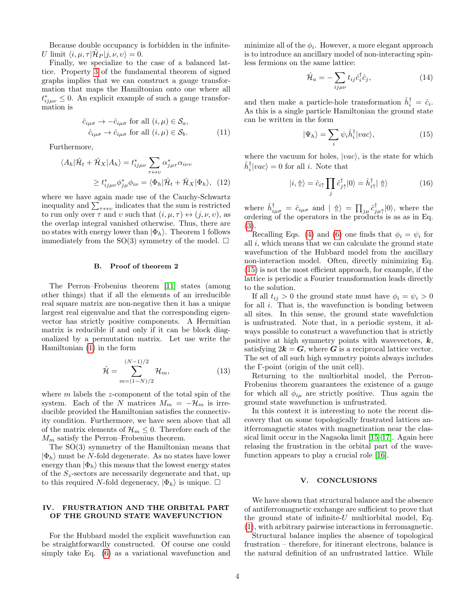Because double occupancy is forbidden in the infinite-U limit  $\langle i, \mu, \tau | \hat{\mathcal{H}}_P | j, \nu, v \rangle = 0.$ 

Finally, we specialize to the case of a balanced lattice. Property [3](#page-2-2) of the fundamental theorem of signed graphs implies that we can construct a gauge transformation that maps the Hamiltonian onto one where all  $t^*_{ij\mu\nu} \leq 0$ . An explicit example of such a gauge transformation is

$$
\hat{c}_{i\mu\sigma} \to -\hat{c}_{i\mu\sigma} \text{ for all } (i,\mu) \in \mathcal{S}_a,
$$
  

$$
\hat{c}_{i\mu\sigma} \to \hat{c}_{i\mu\sigma} \text{ for all } (i,\mu) \in \mathcal{S}_b.
$$
 (11)

Furthermore,

$$
\langle A_h | \hat{\mathcal{H}}_t + \hat{\mathcal{H}}_X | A_h \rangle = t_{ij\mu\nu}^* \sum_{\tau \leftrightarrow \upsilon} \alpha_{j\mu\tau}^* \alpha_{i\nu\nu}
$$

$$
\geq t_{ij\mu\nu}^* \phi_{j\mu}^* \phi_{i\nu} = \langle \Phi_h | \hat{\mathcal{H}}_t + \hat{\mathcal{H}}_X | \Phi_h \rangle, \quad (12)
$$

where we have again made use of the Cauchy-Schwartz inequality and  $\sum_{\tau \leftrightarrow v}$  indicates that the sum is restricted to run only over  $\tau$  and  $v$  such that  $(i, \mu, \tau) \leftrightarrow (j, \nu, v)$ , as the overlap integral vanished otherwise. Thus, there are no states with energy lower than  $|\Phi_h\rangle$ . Theorem 1 follows immediately from the SO(3) symmetry of the model.  $\square$ 

# B. Proof of theorem 2

The Perron–Frobenius theorem [\[11\]](#page-4-11) states (among other things) that if all the elements of an irreducible real square matrix are non-negative then it has a unique largest real eigenvalue and that the corresponding eigenvector has strictly positive components. A Hermitian matrix is reducible if and only if it can be block diagonalized by a permutation matrix. Let use write the Hamiltonian [\(1\)](#page-0-0) in the form

$$
\hat{\mathcal{H}} = \sum_{m=(1-N)/2}^{(N-1)/2} \mathcal{H}_m,\tag{13}
$$

where  $m$  labels the  $z$ -component of the total spin of the system. Each of the N matrices  $M_m = -\mathcal{H}_m$  is irreducible provided the Hamiltonian satisfies the connectivity condition. Furthermore, we have seen above that all of the matrix elements of  $\mathcal{H}_m \leq 0$ . Therefore each of the  $M_m$  satisfy the Perron–Frobenius theorem.

The SO(3) symmetry of the Hamiltonian means that  $|\Phi_h\rangle$  must be N-fold degenerate. As no states have lower energy than  $|\Phi_h\rangle$  this means that the lowest energy states of the  $S_z$ -sectors are necessarily degenerate and that, up to this required N-fold degeneracy,  $|\Phi_h\rangle$  is unique.  $\Box$ 

# <span id="page-3-0"></span>IV. FRUSTRATION AND THE ORBITAL PART OF THE GROUND STATE WAVEFUNCTION

For the Hubbard model the explicit wavefunction can be straightforwardly constructed. Of course one could simply take Eq. [\(6\)](#page-2-3) as a variational wavefunction and

minimize all of the  $\phi_i$ . However, a more elegant approach is to introduce an ancillary model of non-interacting spinless fermions on the same lattice:

$$
\hat{\mathcal{H}}_a = -\sum_{ij\mu\nu} t_{ij} \hat{c}_i^\dagger \hat{c}_j,\tag{14}
$$

and then make a particle-hole transformation  $\hat{h}_i^{\dagger} = \hat{c}_i$ . As this is a single particle Hamiltonian the ground state can be written in the form

<span id="page-3-1"></span>
$$
|\Psi_h\rangle = \sum_i \psi_i \hat{h}_i^\dagger |vac\rangle, \qquad (15)
$$

where the vacuum for holes,  $|vac\rangle$ , is the state for which  $\hat{h}_i^{\dagger} |vac\rangle = 0$  for all *i*. Note that

$$
|i,\uparrow\rangle = \hat{c}_{i\uparrow} \prod_{j} \hat{c}_{j\uparrow}^{\dagger} |0\rangle = \hat{h}_{i\uparrow}^{\dagger} | \Uparrow \rangle \tag{16}
$$

where  $\hat{h}^{\dagger}_{i\mu\sigma} = \hat{c}_{i\mu\sigma}$  and  $| \Uparrow \rangle = \prod_{j\mu} \hat{c}^{\dagger}_{j\mu\uparrow} |0\rangle$ , where the ordering of the operators in the products is as as in Eq. [\(3\)](#page-2-4).

Recalling Eqs. [\(4\)](#page-2-5) and [\(6\)](#page-2-3) one finds that  $\phi_i = \psi_i$  for all  $i$ , which means that we can calculate the ground state wavefunction of the Hubbard model from the ancillary non-interaction model. Often, directly minimizing Eq. [\(15\)](#page-3-1) is not the most efficient approach, for example, if the lattice is periodic a Fourier transformation leads directly to the solution.

If all  $t_{ij} > 0$  the ground state must have  $\phi_i = \psi_i > 0$ for all  $i$ . That is, the wavefunction is bonding between all sites. In this sense, the ground state wavefulction is unfrustrated. Note that, in a periodic system, it always possible to construct a wavefunction that is strictly positive at high symmetry points with wavevectors,  $k$ , satisfying  $2k = G$ , where G is a reciprocal lattice vector. The set of all such high symmetry points always includes the Γ-point (origin of the unit cell).

Returning to the multiorbital model, the Perron-Frobenius theorem guarantees the existence of a gauge for which all  $\phi_{i\mu}$  are strictly positive. Thus again the ground state wavefunction is unfrustrated.

In this context it is interesting to note the recent discovery that on some topologically frustrated lattices anitferromagnetic states with magnetization near the classical limit occur in the Nagaoka limit [\[15–](#page-4-12)[17\]](#page-4-13). Again here relasing the frustration in the orbital part of the wavefunction appears to play a crucial role [\[16\]](#page-4-14).

# V. CONCLUSIONS

We have shown that structural balance and the absence of antiferromagnetic exchange are sufficient to prove that the ground state of infinite- $U$  multiorbital model, Eq. [\(1\)](#page-0-0), with arbitrary pairwise interactions in ferromagnetic.

Structural balance implies the absence of topological frustration – therefore, for itinerant electrons, balance is the natural definition of an unfrustrated lattice. While